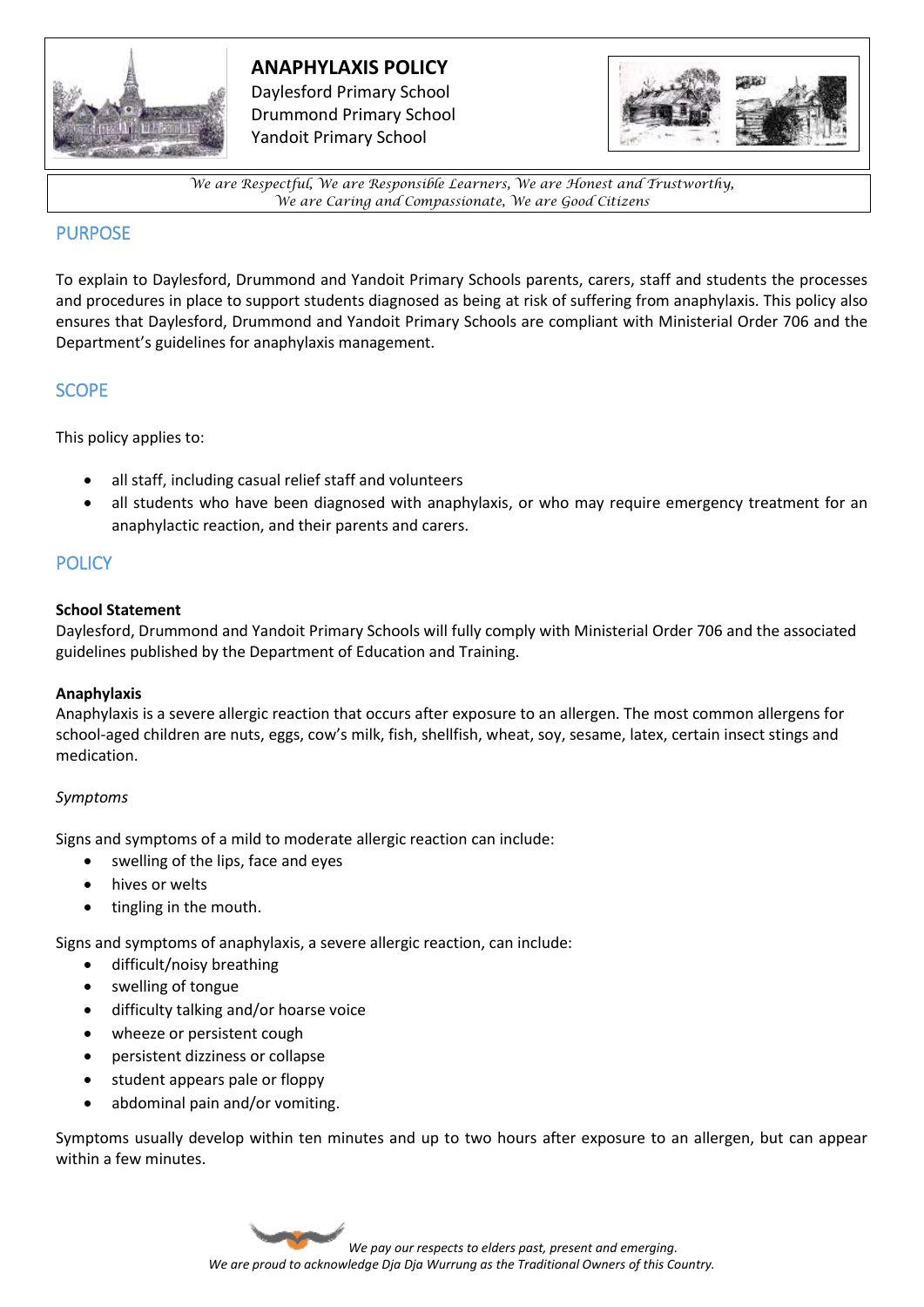

# **ANAPHYLAXIS POLICY**

Daylesford Primary School Drummond Primary School Yandoit Primary School



*We are Respectful, We are Responsible Learners, We are Honest and Trustworthy, We are Caring and Compassionate, We are Good Citizens*

### PURPOSE

To explain to Daylesford, Drummond and Yandoit Primary Schools parents, carers, staff and students the processes and procedures in place to support students diagnosed as being at risk of suffering from anaphylaxis. This policy also ensures that Daylesford, Drummond and Yandoit Primary Schools are compliant with Ministerial Order 706 and the Department's guidelines for anaphylaxis management.

# SCOPE

This policy applies to:

- all staff, including casual relief staff and volunteers
- all students who have been diagnosed with anaphylaxis, or who may require emergency treatment for an anaphylactic reaction, and their parents and carers.

# **POLICY**

#### **School Statement**

Daylesford, Drummond and Yandoit Primary Schools will fully comply with Ministerial Order 706 and the associated guidelines published by the Department of Education and Training.

### **Anaphylaxis**

Anaphylaxis is a severe allergic reaction that occurs after exposure to an allergen. The most common allergens for school-aged children are nuts, eggs, cow's milk, fish, shellfish, wheat, soy, sesame, latex, certain insect stings and medication.

### *Symptoms*

Signs and symptoms of a mild to moderate allergic reaction can include:

- swelling of the lips, face and eyes
- hives or welts
- tingling in the mouth.

Signs and symptoms of anaphylaxis, a severe allergic reaction, can include:

- difficult/noisy breathing
- swelling of tongue
- difficulty talking and/or hoarse voice
- wheeze or persistent cough
- persistent dizziness or collapse
- student appears pale or floppy
- abdominal pain and/or vomiting.

Symptoms usually develop within ten minutes and up to two hours after exposure to an allergen, but can appear within a few minutes.

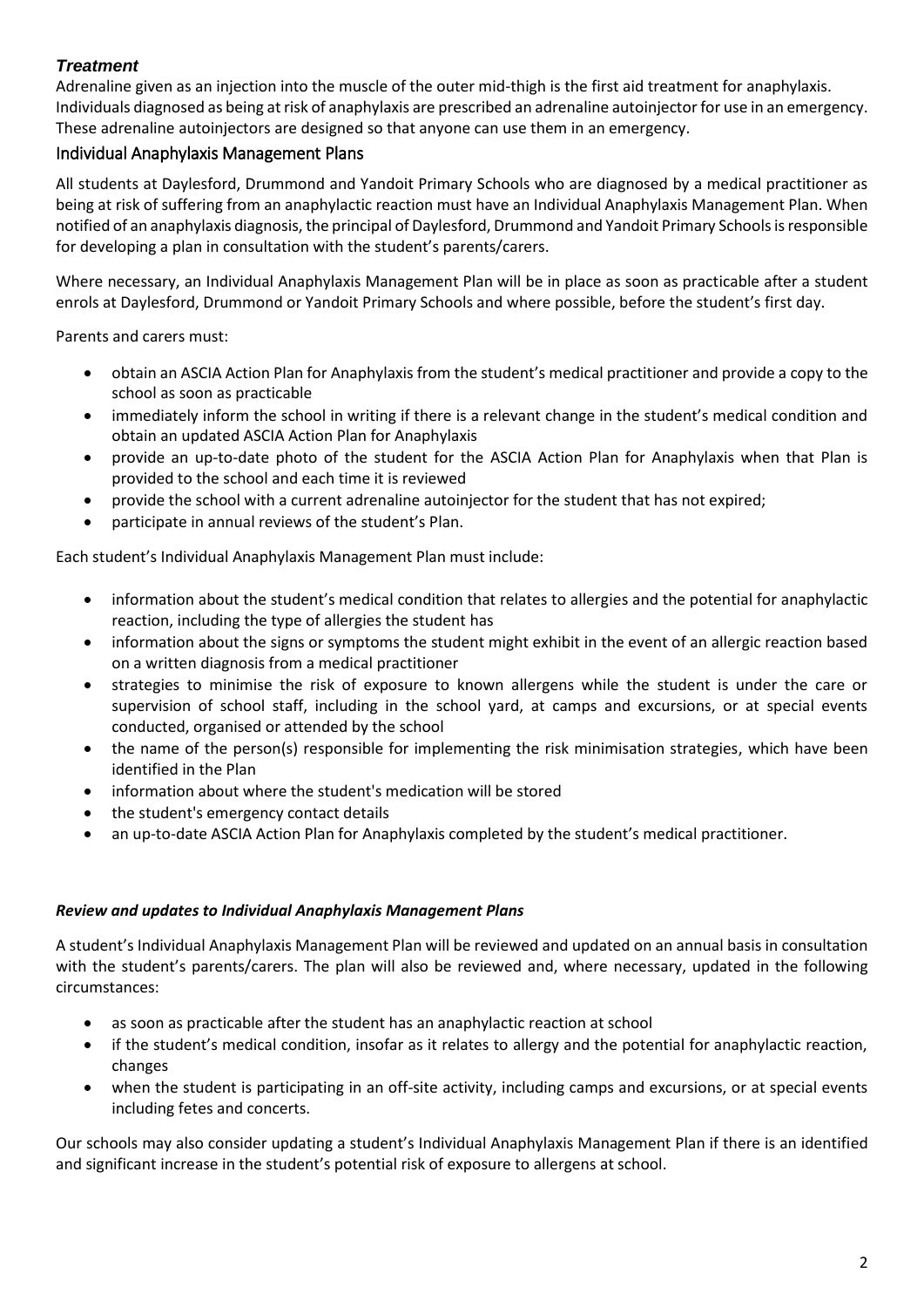### *Treatment*

Adrenaline given as an injection into the muscle of the outer mid-thigh is the first aid treatment for anaphylaxis. Individuals diagnosed as being at risk of anaphylaxis are prescribed an adrenaline autoinjector for use in an emergency. These adrenaline autoinjectors are designed so that anyone can use them in an emergency.

### Individual Anaphylaxis Management Plans

All students at Daylesford, Drummond and Yandoit Primary Schools who are diagnosed by a medical practitioner as being at risk of suffering from an anaphylactic reaction must have an Individual Anaphylaxis Management Plan. When notified of an anaphylaxis diagnosis, the principal of Daylesford, Drummond and Yandoit Primary Schools is responsible for developing a plan in consultation with the student's parents/carers.

Where necessary, an Individual Anaphylaxis Management Plan will be in place as soon as practicable after a student enrols at Daylesford, Drummond or Yandoit Primary Schools and where possible, before the student's first day.

Parents and carers must:

- obtain an ASCIA Action Plan for Anaphylaxis from the student's medical practitioner and provide a copy to the school as soon as practicable
- immediately inform the school in writing if there is a relevant change in the student's medical condition and obtain an updated ASCIA Action Plan for Anaphylaxis
- provide an up-to-date photo of the student for the ASCIA Action Plan for Anaphylaxis when that Plan is provided to the school and each time it is reviewed
- provide the school with a current adrenaline autoinjector for the student that has not expired;
- participate in annual reviews of the student's Plan.

Each student's Individual Anaphylaxis Management Plan must include:

- information about the student's medical condition that relates to allergies and the potential for anaphylactic reaction, including the type of allergies the student has
- information about the signs or symptoms the student might exhibit in the event of an allergic reaction based on a written diagnosis from a medical practitioner
- strategies to minimise the risk of exposure to known allergens while the student is under the care or supervision of school staff, including in the school yard, at camps and excursions, or at special events conducted, organised or attended by the school
- the name of the person(s) responsible for implementing the risk minimisation strategies, which have been identified in the Plan
- information about where the student's medication will be stored
- the student's emergency contact details
- an up-to-date ASCIA Action Plan for Anaphylaxis completed by the student's medical practitioner.

#### *Review and updates to Individual Anaphylaxis Management Plans*

A student's Individual Anaphylaxis Management Plan will be reviewed and updated on an annual basis in consultation with the student's parents/carers. The plan will also be reviewed and, where necessary, updated in the following circumstances:

- as soon as practicable after the student has an anaphylactic reaction at school
- if the student's medical condition, insofar as it relates to allergy and the potential for anaphylactic reaction, changes
- when the student is participating in an off-site activity, including camps and excursions, or at special events including fetes and concerts.

Our schools may also consider updating a student's Individual Anaphylaxis Management Plan if there is an identified and significant increase in the student's potential risk of exposure to allergens at school.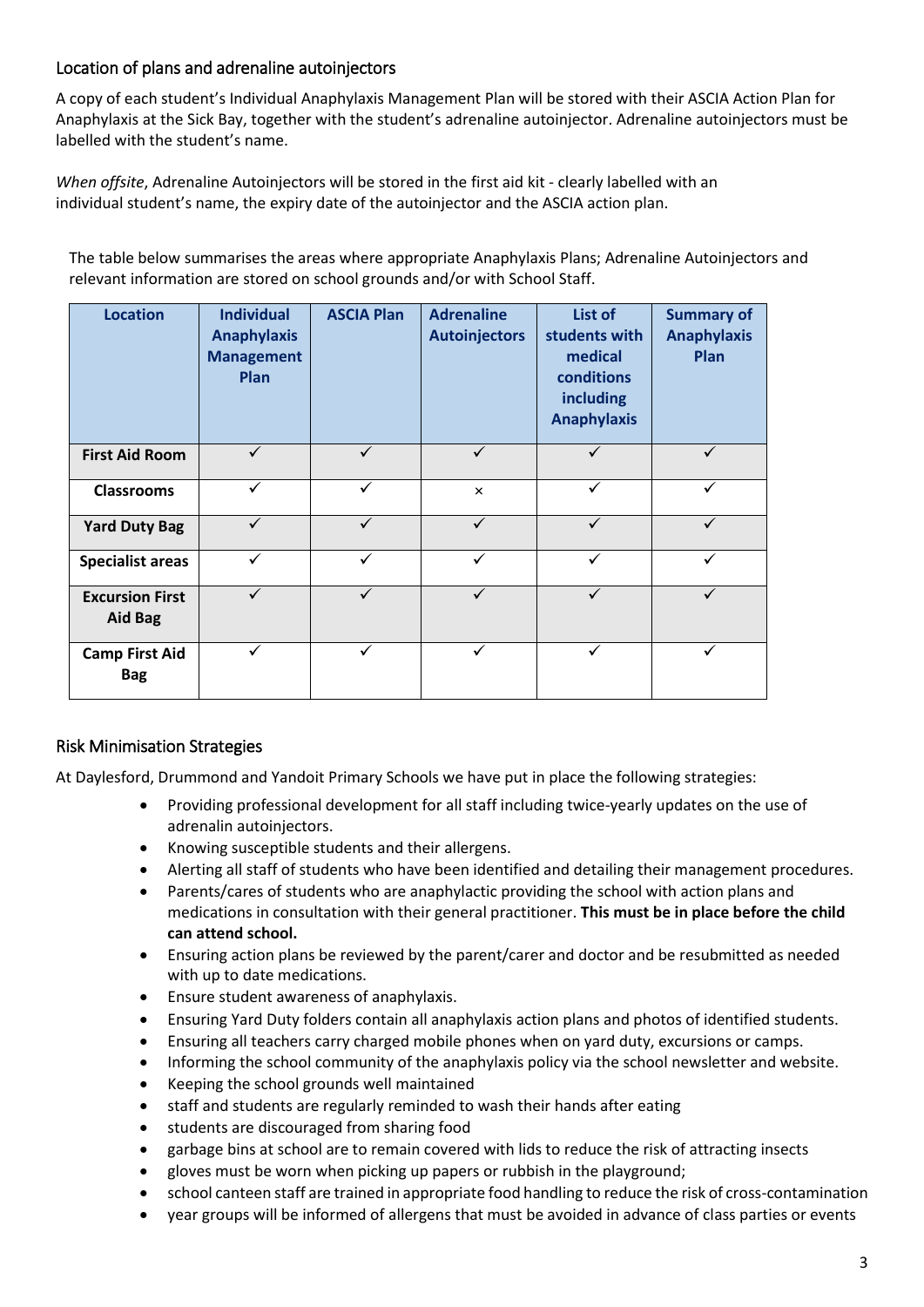### Location of plans and adrenaline autoinjectors

A copy of each student's Individual Anaphylaxis Management Plan will be stored with their ASCIA Action Plan for Anaphylaxis at the Sick Bay, together with the student's adrenaline autoinjector. Adrenaline autoinjectors must be labelled with the student's name.

*When offsite*, Adrenaline Autoinjectors will be stored in the first aid kit - clearly labelled with an individual student's name, the expiry date of the autoinjector and the ASCIA action plan.

The table below summarises the areas where appropriate Anaphylaxis Plans; Adrenaline Autoinjectors and relevant information are stored on school grounds and/or with School Staff.

| <b>Location</b>                          | <b>Individual</b><br><b>Anaphylaxis</b><br><b>Management</b><br>Plan | <b>ASCIA Plan</b> | <b>Adrenaline</b><br><b>Autoinjectors</b> | List of<br>students with<br>medical<br>conditions<br><b>including</b><br><b>Anaphylaxis</b> | <b>Summary of</b><br><b>Anaphylaxis</b><br>Plan |
|------------------------------------------|----------------------------------------------------------------------|-------------------|-------------------------------------------|---------------------------------------------------------------------------------------------|-------------------------------------------------|
| <b>First Aid Room</b>                    | ✓                                                                    | ✓                 | ✓                                         | ✓                                                                                           |                                                 |
| <b>Classrooms</b>                        | ✓                                                                    | ✓                 | $\times$                                  | ✓                                                                                           | $\checkmark$                                    |
| <b>Yard Duty Bag</b>                     |                                                                      |                   |                                           |                                                                                             |                                                 |
| <b>Specialist areas</b>                  |                                                                      |                   |                                           |                                                                                             |                                                 |
| <b>Excursion First</b><br><b>Aid Bag</b> |                                                                      | $\checkmark$      | ✓                                         | $\checkmark$                                                                                | ✓                                               |
| <b>Camp First Aid</b><br><b>Bag</b>      |                                                                      |                   |                                           |                                                                                             |                                                 |

# Risk Minimisation Strategies

At Daylesford, Drummond and Yandoit Primary Schools we have put in place the following strategies:

- Providing professional development for all staff including twice-yearly updates on the use of adrenalin autoinjectors.
- Knowing susceptible students and their allergens.
- Alerting all staff of students who have been identified and detailing their management procedures.
- Parents/cares of students who are anaphylactic providing the school with action plans and medications in consultation with their general practitioner. **This must be in place before the child can attend school.**
- Ensuring action plans be reviewed by the parent/carer and doctor and be resubmitted as needed with up to date medications.
- Ensure student awareness of anaphylaxis.
- Ensuring Yard Duty folders contain all anaphylaxis action plans and photos of identified students.
- Ensuring all teachers carry charged mobile phones when on yard duty, excursions or camps.
- Informing the school community of the anaphylaxis policy via the school newsletter and website.
- Keeping the school grounds well maintained
- staff and students are regularly reminded to wash their hands after eating
- **•** students are discouraged from sharing food
- garbage bins at school are to remain covered with lids to reduce the risk of attracting insects
- gloves must be worn when picking up papers or rubbish in the playground;
- school canteen staff are trained in appropriate food handling to reduce the risk of cross-contamination
- year groups will be informed of allergens that must be avoided in advance of class parties or events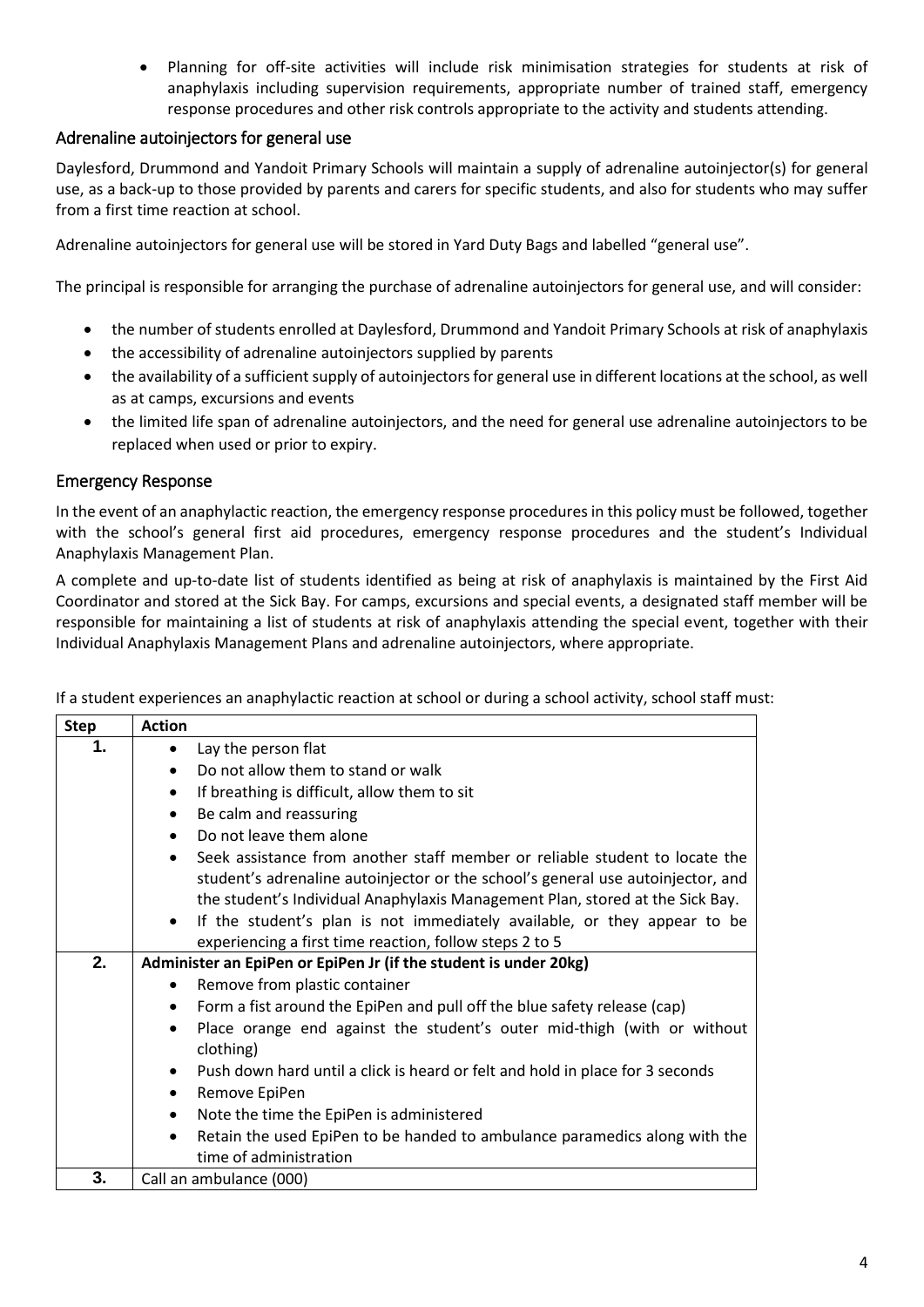Planning for off-site activities will include risk minimisation strategies for students at risk of anaphylaxis including supervision requirements, appropriate number of trained staff, emergency response procedures and other risk controls appropriate to the activity and students attending.

#### Adrenaline autoinjectors for general use

Daylesford, Drummond and Yandoit Primary Schools will maintain a supply of adrenaline autoinjector(s) for general use, as a back-up to those provided by parents and carers for specific students, and also for students who may suffer from a first time reaction at school.

Adrenaline autoinjectors for general use will be stored in Yard Duty Bags and labelled "general use".

The principal is responsible for arranging the purchase of adrenaline autoinjectors for general use, and will consider:

- the number of students enrolled at Daylesford, Drummond and Yandoit Primary Schools at risk of anaphylaxis
- the accessibility of adrenaline autoinjectors supplied by parents
- the availability of a sufficient supply of autoinjectors for general use in different locations at the school, as well as at camps, excursions and events
- the limited life span of adrenaline autoinjectors, and the need for general use adrenaline autoinjectors to be replaced when used or prior to expiry.

#### Emergency Response

In the event of an anaphylactic reaction, the emergency response procedures in this policy must be followed, together with the school's general first aid procedures, emergency response procedures and the student's Individual Anaphylaxis Management Plan.

A complete and up-to-date list of students identified as being at risk of anaphylaxis is maintained by the First Aid Coordinator and stored at the Sick Bay. For camps, excursions and special events, a designated staff member will be responsible for maintaining a list of students at risk of anaphylaxis attending the special event, together with their Individual Anaphylaxis Management Plans and adrenaline autoinjectors, where appropriate.

| <b>Step</b> | <b>Action</b>                                                                                             |  |  |  |  |
|-------------|-----------------------------------------------------------------------------------------------------------|--|--|--|--|
| 1.          | Lay the person flat<br>$\bullet$                                                                          |  |  |  |  |
|             | Do not allow them to stand or walk<br>$\bullet$                                                           |  |  |  |  |
|             | If breathing is difficult, allow them to sit<br>$\bullet$                                                 |  |  |  |  |
|             | Be calm and reassuring<br>٠                                                                               |  |  |  |  |
|             | Do not leave them alone<br>$\bullet$                                                                      |  |  |  |  |
|             | Seek assistance from another staff member or reliable student to locate the<br>$\bullet$                  |  |  |  |  |
|             | student's adrenaline autoinjector or the school's general use autoinjector, and                           |  |  |  |  |
|             | the student's Individual Anaphylaxis Management Plan, stored at the Sick Bay.                             |  |  |  |  |
|             | If the student's plan is not immediately available, or they appear to be<br>$\bullet$                     |  |  |  |  |
|             | experiencing a first time reaction, follow steps 2 to 5                                                   |  |  |  |  |
| 2.          | Administer an EpiPen or EpiPen Jr (if the student is under 20kg)                                          |  |  |  |  |
|             | Remove from plastic container<br>$\bullet$                                                                |  |  |  |  |
|             | Form a fist around the EpiPen and pull off the blue safety release (cap)<br>$\bullet$                     |  |  |  |  |
|             | Place orange end against the student's outer mid-thigh (with or without<br>$\bullet$<br>clothing)         |  |  |  |  |
|             | Push down hard until a click is heard or felt and hold in place for 3 seconds<br>$\bullet$                |  |  |  |  |
|             | Remove EpiPen<br>٠                                                                                        |  |  |  |  |
|             | Note the time the EpiPen is administered<br>٠                                                             |  |  |  |  |
|             | Retain the used EpiPen to be handed to ambulance paramedics along with the<br>٠<br>time of administration |  |  |  |  |
| 3.          | Call an ambulance (000)                                                                                   |  |  |  |  |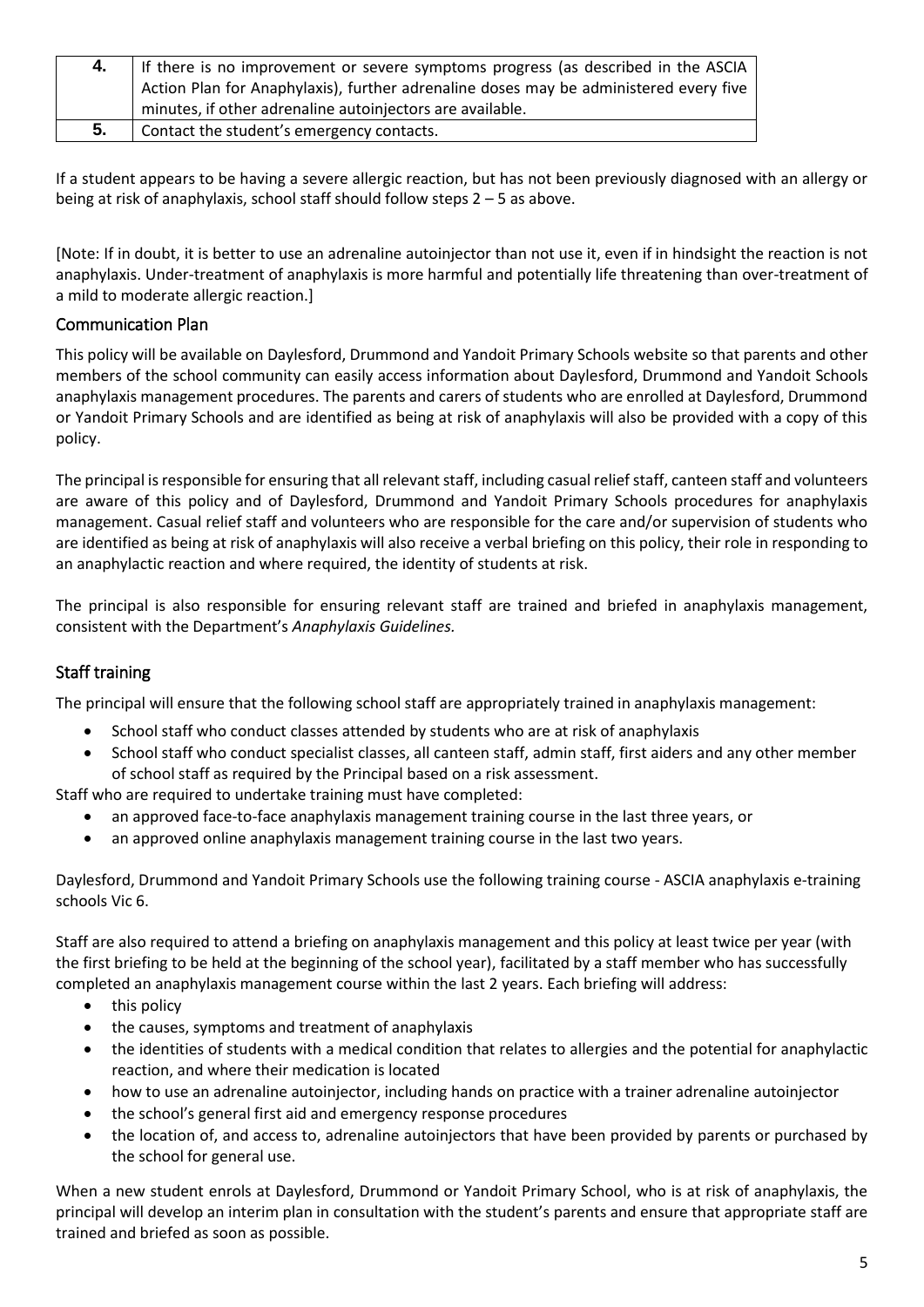|    | If there is no improvement or severe symptoms progress (as described in the ASCIA     |
|----|---------------------------------------------------------------------------------------|
|    | Action Plan for Anaphylaxis), further adrenaline doses may be administered every five |
|    | minutes, if other adrenaline autoinjectors are available.                             |
| 5. | Contact the student's emergency contacts.                                             |

If a student appears to be having a severe allergic reaction, but has not been previously diagnosed with an allergy or being at risk of anaphylaxis, school staff should follow steps 2 – 5 as above.

[Note: If in doubt, it is better to use an adrenaline autoinjector than not use it, even if in hindsight the reaction is not anaphylaxis. Under-treatment of anaphylaxis is more harmful and potentially life threatening than over-treatment of a mild to moderate allergic reaction.]

#### Communication Plan

This policy will be available on Daylesford, Drummond and Yandoit Primary Schools website so that parents and other members of the school community can easily access information about Daylesford, Drummond and Yandoit Schools anaphylaxis management procedures. The parents and carers of students who are enrolled at Daylesford, Drummond or Yandoit Primary Schools and are identified as being at risk of anaphylaxis will also be provided with a copy of this policy.

The principal is responsible for ensuring that all relevant staff, including casual relief staff, canteen staff and volunteers are aware of this policy and of Daylesford, Drummond and Yandoit Primary Schools procedures for anaphylaxis management. Casual relief staff and volunteers who are responsible for the care and/or supervision of students who are identified as being at risk of anaphylaxis will also receive a verbal briefing on this policy, their role in responding to an anaphylactic reaction and where required, the identity of students at risk.

The principal is also responsible for ensuring relevant staff are trained and briefed in anaphylaxis management, consistent with the Department's *Anaphylaxis Guidelines.*

### Staff training

The principal will ensure that the following school staff are appropriately trained in anaphylaxis management:

- School staff who conduct classes attended by students who are at risk of anaphylaxis
- School staff who conduct specialist classes, all canteen staff, admin staff, first aiders and any other member of school staff as required by the Principal based on a risk assessment.

Staff who are required to undertake training must have completed:

- an approved face-to-face anaphylaxis management training course in the last three years, or
- an approved online anaphylaxis management training course in the last two years.

Daylesford, Drummond and Yandoit Primary Schools use the following training course - ASCIA anaphylaxis e-training schools Vic 6.

Staff are also required to attend a briefing on anaphylaxis management and this policy at least twice per year (with the first briefing to be held at the beginning of the school year), facilitated by a staff member who has successfully completed an anaphylaxis management course within the last 2 years. Each briefing will address:

- this policy
- the causes, symptoms and treatment of anaphylaxis
- the identities of students with a medical condition that relates to allergies and the potential for anaphylactic reaction, and where their medication is located
- how to use an adrenaline autoinjector, including hands on practice with a trainer adrenaline autoinjector
- the school's general first aid and emergency response procedures
- the location of, and access to, adrenaline autoinjectors that have been provided by parents or purchased by the school for general use.

When a new student enrols at Daylesford, Drummond or Yandoit Primary School, who is at risk of anaphylaxis, the principal will develop an interim plan in consultation with the student's parents and ensure that appropriate staff are trained and briefed as soon as possible.